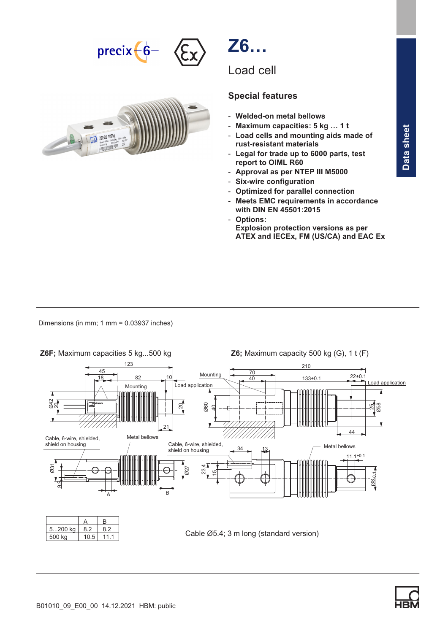





# Special features

- Welded-on metal bellows
- Maximum capacities: 5 kg … 1 t
- Load cells and mounting aids made of rust-resistant materials
- Legal for trade up to 6000 parts, test report to OIML R60
- Approval as per NTEP III M5000
- Six-wire configuration
- Optimized for parallel connection
- Meets EMC requirements in accordance with DIN EN 45501:2015
- Options:
	- Explosion protection versions as per ATEX and IECEx, FM (US/CA) and EAC Ex

Dimensions (in mm; 1 mm = 0.03937 inches)



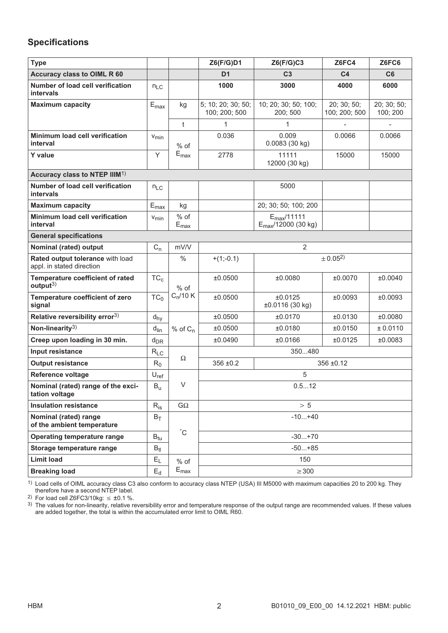## Specifications

| <b>Type</b>                                                   |                             |                                       | Z6(F/G)D1                           | Z6(F/G)C3                                                 | Z6FC4                        | Z6FC6                   |
|---------------------------------------------------------------|-----------------------------|---------------------------------------|-------------------------------------|-----------------------------------------------------------|------------------------------|-------------------------|
| <b>Accuracy class to OIML R 60</b>                            |                             |                                       | D <sub>1</sub>                      | C <sub>3</sub>                                            | C <sub>4</sub>               | C6                      |
| Number of load cell verification<br><b>intervals</b>          | $n_{LC}$                    |                                       | 1000                                | 3000                                                      | 4000                         | 6000                    |
| <b>Maximum capacity</b>                                       | $E_{\text{max}}$            | kg                                    | 5; 10; 20; 30; 50;<br>100; 200; 500 | 10; 20; 30; 50; 100;<br>200; 500                          | 20; 30; 50;<br>100; 200; 500 | 20; 30; 50;<br>100; 200 |
|                                                               |                             | $\mathsf{t}$                          | 1                                   | 1                                                         |                              |                         |
| Minimum load cell verification<br>interval                    | $V_{\text{min}}$            | $%$ of                                | 0.036                               | 0.009<br>0.0083 (30 kg)                                   | 0.0066                       | 0.0066                  |
| <b>Y</b> value                                                | Y                           | $E_{\text{max}}$                      | 2778                                | 11111<br>12000 (30 kg)                                    | 15000                        | 15000                   |
| Accuracy class to NTEP IIIM <sup>1)</sup>                     |                             |                                       |                                     |                                                           |                              |                         |
| Number of load cell verification<br>intervals                 | $n_{LC}$                    |                                       |                                     | 5000                                                      |                              |                         |
| <b>Maximum capacity</b>                                       | $\mathsf{E}_{\mathsf{max}}$ | kg                                    |                                     | 20; 30; 50; 100; 200                                      |                              |                         |
| Minimum load cell verification<br>interval                    | V <sub>min</sub>            | $%$ of<br>$\mathsf{E}_{\mathsf{max}}$ |                                     | $E_{\text{max}}/11111$<br>$E_{\text{max}}$ /12000 (30 kg) |                              |                         |
| <b>General specifications</b>                                 |                             |                                       |                                     |                                                           |                              |                         |
| Nominal (rated) output                                        | $C_n$                       | mV/V                                  |                                     | $\overline{2}$                                            |                              |                         |
| Rated output tolerance with load<br>appl. in stated direction |                             | $\frac{0}{0}$                         | $+(1;-0.1)$                         |                                                           | $\pm 0.05^{2}$               |                         |
| <b>Temperature coefficient of rated</b><br>$output^{3)}$      | TC <sub>c</sub>             | $%$ of                                | ±0.0500                             | ±0.0080                                                   | ±0.0070                      | ±0.0040                 |
| Temperature coefficient of zero<br>signal                     | TC <sub>0</sub>             | $C_n/10 K$                            | ±0.0500                             | ±0.0125<br>±0.0116 (30 kg)                                | ±0.0093                      | ±0.0093                 |
| Relative reversibility error <sup>3)</sup>                    | $d_{hy}$                    |                                       | ±0.0500                             | ±0.0170                                                   | ±0.0130                      | ±0.0080                 |
| Non-linearity $3)$                                            | $d_{lin}$                   | $%$ of $C_n$                          | ±0.0500                             | ±0.0180                                                   | ±0.0150                      | ± 0.0110                |
| Creep upon loading in 30 min.                                 | $d_{DR}$                    |                                       | ±0.0490                             | ±0.0166                                                   | ±0.0125                      | ±0.0083                 |
| Input resistance                                              | $R_{LC}$                    | Ω                                     |                                     | 350480                                                    |                              |                         |
| <b>Output resistance</b>                                      | $R_0$                       |                                       | $356 \pm 0.2$                       |                                                           | 356 ±0.12                    |                         |
| Reference voltage                                             | $U_{ref}$                   |                                       |                                     | 5                                                         |                              |                         |
| Nominal (rated) range of the exci-<br>tation voltage          | $B_{u}$                     | V                                     |                                     | 0.512                                                     |                              |                         |
| <b>Insulation resistance</b>                                  | $R_{is}$                    | $G\Omega$                             |                                     | $> 5$                                                     |                              |                         |
| Nominal (rated) range<br>of the ambient temperature           | $B_T$                       |                                       |                                     | $-10+40$                                                  |                              |                         |
| <b>Operating temperature range</b>                            | $B_{tu}$                    | $^{\circ}$ C                          |                                     | $-30+70$                                                  |                              |                         |
| Storage temperature range                                     | $B_{tl}$                    |                                       |                                     | $-50+85$                                                  |                              |                         |
| <b>Limit load</b>                                             | $E_L$                       | $%$ of                                |                                     | 150                                                       |                              |                         |
| <b>Breaking load</b>                                          | $E_d$                       | $E_{\text{max}}$                      |                                     | $\geq$ 300                                                |                              |                         |

 $^{1)}$  Load cells of OIML accuracy class C3 also conform to accuracy class NTEP (USA) III M5000 with maximum capacities 20 to 200 kg. They therefore have a second NTEP label.

2) For load cell Z6FC3/10kg:  $\leq \pm 0.1$  %.

3) The values for non-linearity, relative reversibility error and temperature response of the output range are recommended values. If these values are added together, the total is within the accumulated error limit to OIML R60.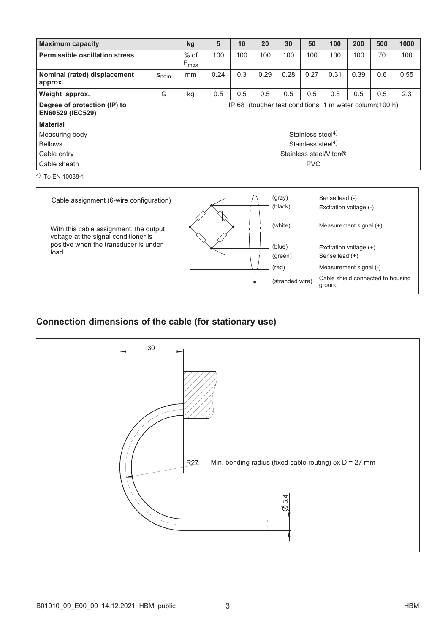| <b>Maximum capacity</b>                                 |                  | kg                         | 5                                                           | 10  | 20   | 30   | 50                            | 100  | 200  | 500 | 1000 |
|---------------------------------------------------------|------------------|----------------------------|-------------------------------------------------------------|-----|------|------|-------------------------------|------|------|-----|------|
| <b>Permissible oscillation stress</b>                   |                  | $%$ of<br>$E_{\text{max}}$ | 100                                                         | 100 | 100  | 100  | 100                           | 100  | 100  | 70  | 100  |
| Nominal (rated) displacement<br>approx.                 | $S_{\text{nom}}$ | mm                         | 0.24                                                        | 0.3 | 0.29 | 0.28 | 0.27                          | 0.31 | 0.39 | 0.6 | 0.55 |
| Weight approx.                                          | G                | kg                         | 0.5                                                         | 0.5 | 0.5  | 0.5  | 0.5                           | 0.5  | 0.5  | 0.5 | 2.3  |
| Degree of protection (IP) to<br><b>EN60529 (IEC529)</b> |                  |                            | (tougher test conditions: 1 m water column; 100 h)<br>IP 68 |     |      |      |                               |      |      |     |      |
| <b>Material</b>                                         |                  |                            |                                                             |     |      |      |                               |      |      |     |      |
| Measuring body                                          |                  |                            |                                                             |     |      |      | Stainless steel <sup>4)</sup> |      |      |     |      |
| <b>Bellows</b>                                          |                  |                            |                                                             |     |      |      | Stainless steel $4$ )         |      |      |     |      |
| Cable entry                                             |                  |                            | Stainless steel/Viton®                                      |     |      |      |                               |      |      |     |      |
| Cable sheath                                            |                  |                            |                                                             |     |      |      | <b>PVC</b>                    |      |      |     |      |

4) To EN 10088‐1

| Cable assignment (6-wire configuration)                                        |  | (gray)<br>(black) | Sense lead (-)<br>Excitation voltage (-)    |
|--------------------------------------------------------------------------------|--|-------------------|---------------------------------------------|
| With this cable assignment, the output<br>voltage at the signal conditioner is |  | (white)           | Measurement signal (+)                      |
| positive when the transducer is under                                          |  | (blue)            | Excitation voltage $(+)$                    |
| load.                                                                          |  | (green)           | Sense lead (+)                              |
|                                                                                |  | $(\text{red})$    | Measurement signal (-)                      |
|                                                                                |  | (stranded wire)   | Cable shield connected to housing<br>ground |

# Connection dimensions of the cable (for stationary use)

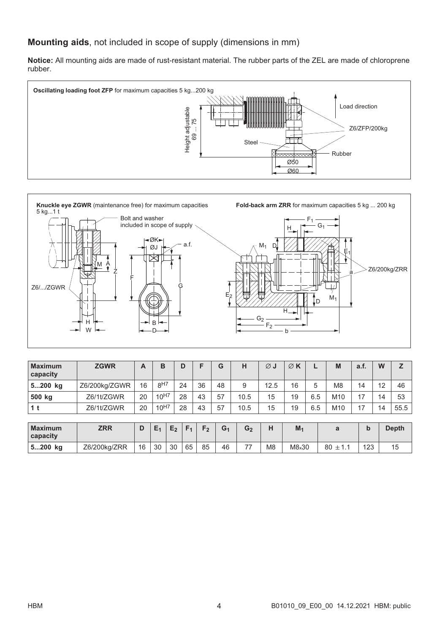## Mounting aids, not included in scope of supply (dimensions in mm)

Notice: All mounting aids are made of rust-resistant material. The rubber parts of the ZEL are made of chloroprene rubber.





| <b>Maximum</b><br>capacity | <b>ZGWR</b>   | A  | B              |                 | D              | F              | G              | н              | $\varnothing$ J | $\emptyset$ K  |     | M               | a.f.        | W   | Z            |                |    |    |    |
|----------------------------|---------------|----|----------------|-----------------|----------------|----------------|----------------|----------------|-----------------|----------------|-----|-----------------|-------------|-----|--------------|----------------|----|----|----|
| 5200 kg                    | Z6/200kg/ZGWR | 16 |                | 8 <sup>H7</sup> |                | 24             |                |                |                 | 36             | 48  | 9               | 12.5        | 16  | 5            | M <sub>8</sub> | 14 | 12 | 46 |
| 500 kg                     | Z6/1t/ZGWR    | 20 | $10^{H7}$      |                 | 28             | 43             | 57             | 10.5           | 15              | 19             | 6.5 | M <sub>10</sub> | 17          | 14  | 53           |                |    |    |    |
| 1 <sub>t</sub>             | Z6/1t/ZGWR    | 20 | 10H7           |                 | 28             | 43             | 57             | 10.5           | 15              | 19             | 6.5 | M10             | 17          | 14  | 55.5         |                |    |    |    |
|                            |               |    |                |                 |                |                |                |                |                 |                |     |                 |             |     |              |                |    |    |    |
| <b>Maximum</b><br>capacity | <b>ZRR</b>    | D  | E <sub>1</sub> | E <sub>2</sub>  | F <sub>1</sub> | F <sub>2</sub> | G <sub>1</sub> | G <sub>2</sub> | н               | M <sub>1</sub> |     | a               | $\mathbf b$ |     | <b>Depth</b> |                |    |    |    |
| 5200 kg                    | Z6/200kg/ZRR  | 16 | 30             | 30              | 65             | 85             | 46             | 77             | M <sub>8</sub>  | M8x30          |     | 80<br>$\pm$ 1.1 |             | 123 | 15           |                |    |    |    |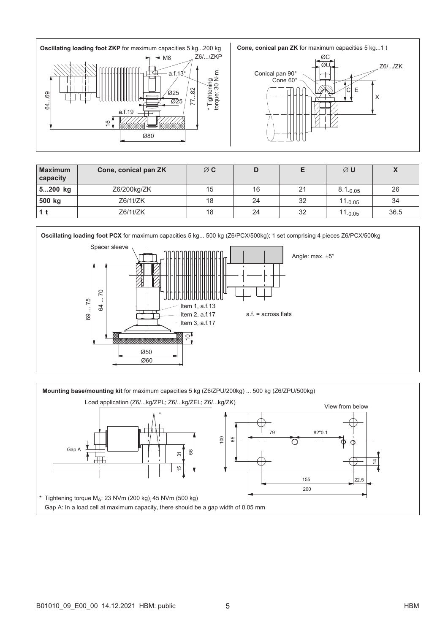



| <b>Maximum</b><br>capacity | Cone, conical pan ZK | $\varnothing$ C |    |    | $\varnothing$ U |      |
|----------------------------|----------------------|-----------------|----|----|-----------------|------|
| 5200 kg                    | Z6/200kg/ZK          | 15              | 16 | 21 | $8.1_{-0.05}$   | 26   |
| 500 kg                     | $Z6/1$ t/ $ZK$       | 18              | 24 | 32 | $11_{-0.05}$    | 34   |
|                            | Z6/1t/ZK             | 18              | 24 | 32 | $11_{-0.05}$    | 36.5 |



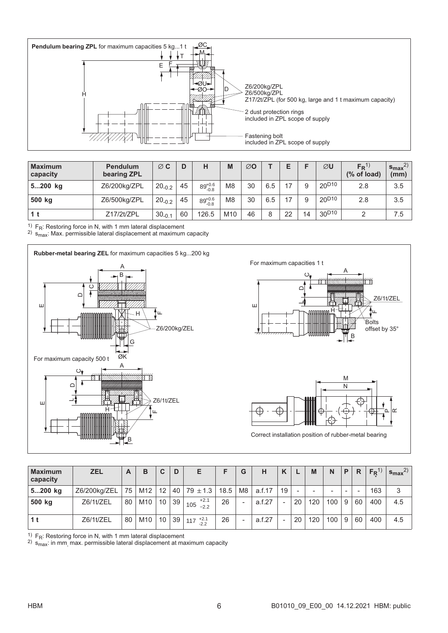

| <b>Maximum</b><br>capacity | <b>Pendulum</b><br>bearing ZPL | $\varnothing$ C | D  | н                  | M               | ØΟ |     |    |    | ØU                           | $F_R$ <sup>1)</sup><br>(% of load) | $s_{\text{max}}$<br>(mm) |
|----------------------------|--------------------------------|-----------------|----|--------------------|-----------------|----|-----|----|----|------------------------------|------------------------------------|--------------------------|
| 5200 kg                    | Z6/200kg/ZPL                   | $20_{-0.2}$     | 45 | $89^{+0.6}_{-0.8}$ | M <sub>8</sub>  | 30 | 6.5 | 17 | 9  | 20 <sup>D<sub>10</sub></sup> | 2.8                                | 3.5                      |
| 500 kg                     | Z6/500kg/ZPL                   | $20_{-0.2}$     | 45 | $89^{+0.6}_{-0.8}$ | M <sub>8</sub>  | 30 | 6.5 | 17 | 9  | $20^{D10}$                   | 2.8                                | 3.5                      |
| 1 t                        | Z17/2t/ZPL                     | $30_{-0.1}$     | 60 | 126.5              | M <sub>10</sub> | 46 | 8   | 22 | 14 | 30 <sup>D<sub>10</sub></sup> |                                    | 7.5                      |

 $\frac{1}{1}$  F<sub>R</sub>: Restoring force in N, with 1 mm lateral displacement

<sup>2)</sup>  $\,{{\sf s}}_{\mathsf{max}}$ : Max. permissible lateral displacement at maximum capacity





| <b>Maximum</b><br>capacity | ZEL          | A  | в   | C                 | D  | Е                       |      | G                        | н      | K  |    | M   | N                        | P | $\mathsf{R}$             | $F_R$ <sup>1</sup> | $s_{\text{max}}^{2}$ |
|----------------------------|--------------|----|-----|-------------------|----|-------------------------|------|--------------------------|--------|----|----|-----|--------------------------|---|--------------------------|--------------------|----------------------|
| 5200 kg                    | Z6/200kg/ZEL | 75 | M12 | $12 \overline{ }$ |    | $ 40 79 \pm 1.3 $       | 18.5 | M <sub>8</sub>           | a.f.17 | 19 |    |     | $\overline{\phantom{0}}$ |   | $\overline{\phantom{a}}$ | 163                | 3                    |
| 500 kg                     | Z6/1t/ZEL    | 80 | M10 | 10                | 39 | $+2.1$<br>105<br>$-2.2$ | 26   | $\overline{\phantom{a}}$ | a.f.27 |    | 20 | 120 | 100                      | 9 | 60                       | 400                | 4.5                  |
|                            | Z6/1t/ZEL    | 80 | M10 | 10                | 39 | $117^{+2.1}_{-2.2}$     | 26   | ۰                        | a.f.27 |    | 20 | 120 | 100 <sub>1</sub>         | 9 | 60                       | 400                | 4.5                  |

 $1)$  F<sub>R</sub>: Restoring force in N, with 1 mm lateral displacement

<sup>2)</sup>  $s<sub>max</sub>$ : in mm<sub>,</sub> max. permissible lateral displacement at maximum capacity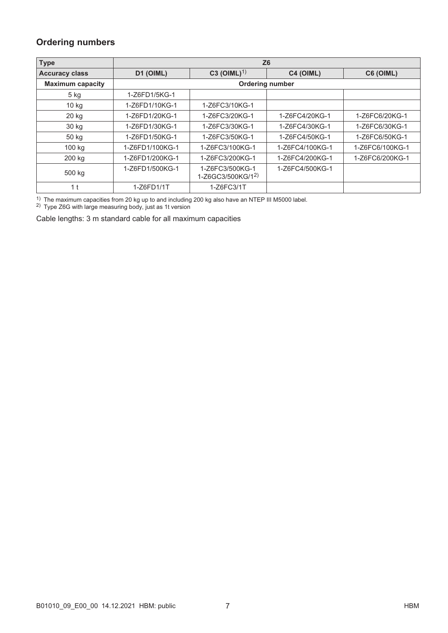## Ordering numbers

| <b>Type</b>             |                 | Z6                                   |                 |                 |
|-------------------------|-----------------|--------------------------------------|-----------------|-----------------|
| <b>Accuracy class</b>   | D1 (OIML)       | C3 (OIML) <sup>1)</sup>              | C4 (OIML)       | C6 (OIML)       |
| <b>Maximum capacity</b> |                 | <b>Ordering number</b>               |                 |                 |
| $5$ kg                  | 1-Z6FD1/5KG-1   |                                      |                 |                 |
| 10 kg                   | 1-Z6FD1/10KG-1  | 1-Z6FC3/10KG-1                       |                 |                 |
| 20 kg                   | 1-Z6FD1/20KG-1  | 1-Z6FC3/20KG-1                       | 1-Z6FC4/20KG-1  | 1-Z6FC6/20KG-1  |
| 30 kg                   | 1-Z6FD1/30KG-1  | 1-Z6FC3/30KG-1                       | 1-Z6FC4/30KG-1  | 1-Z6FC6/30KG-1  |
| 50 kg                   | 1-Z6FD1/50KG-1  | 1-Z6FC3/50KG-1                       | 1-Z6FC4/50KG-1  | 1-Z6FC6/50KG-1  |
| 100 kg                  | 1-Z6FD1/100KG-1 | 1-Z6FC3/100KG-1                      | 1-Z6FC4/100KG-1 | 1-Z6FC6/100KG-1 |
| 200 kg                  | 1-Z6FD1/200KG-1 | 1-Z6FC3/200KG-1                      | 1-Z6FC4/200KG-1 | 1-Z6FC6/200KG-1 |
| 500 kg                  | 1-Z6FD1/500KG-1 | 1-Z6FC3/500KG-1<br>1-Z6GC3/500KG/12) | 1-Z6FC4/500KG-1 |                 |
| 1 <sub>t</sub>          | 1-Z6FD1/1T      | 1-Z6FC3/1T                           |                 |                 |

<sup>1)</sup> The maximum capacities from 20 kg up to and including 200 kg also have an NTEP III M5000 label.

2) Type Z6G with large measuring body, just as 1t version

Cable lengths: 3 m standard cable for all maximum capacities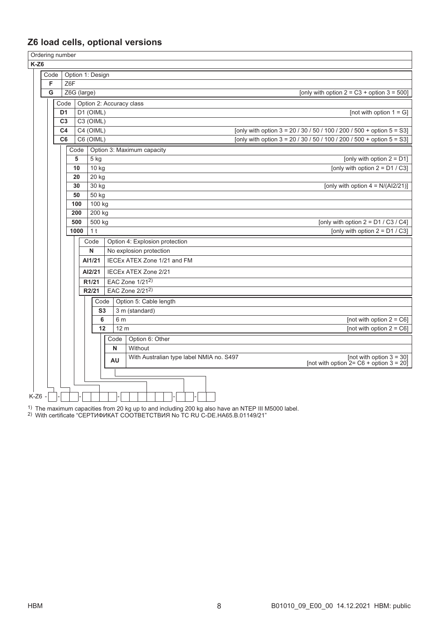# Z6 load cells, optional versions

|          |      | Ordering number |             |                    |                  |                                                                                                                         |
|----------|------|-----------------|-------------|--------------------|------------------|-------------------------------------------------------------------------------------------------------------------------|
| $K-Z6$   |      |                 |             |                    |                  |                                                                                                                         |
|          | Code |                 |             |                    | Option 1: Design |                                                                                                                         |
|          | F    |                 | Z6F         |                    |                  |                                                                                                                         |
|          | G    |                 | Z6G (large) |                    |                  | [only with option $2 = C3 +$ option $3 = 500$ ]                                                                         |
|          |      | Code            |             |                    |                  | Option 2: Accuracy class                                                                                                |
|          |      | D <sub>1</sub>  |             |                    | D1 (OIML)        | [not with option $1 = G$ ]                                                                                              |
|          |      | C <sub>3</sub>  |             |                    | $C3$ (OIML)      |                                                                                                                         |
|          |      | C <sub>4</sub>  |             |                    | $C4$ (OIML)      | [only with option $3 = 20 / 30 / 50 / 100 / 200 / 500 +$ option $5 = S3$ ]                                              |
|          |      | C <sub>6</sub>  |             |                    | C6 (OIML)        | [only with option 3 = 20 / 30 / 50 / 100 / 200 / 500 + option 5 = S3]                                                   |
|          |      |                 | Code        |                    |                  | Option 3: Maximum capacity                                                                                              |
|          |      |                 | 5           |                    | 5 kg             | [only with option $2 = D1$ ]                                                                                            |
|          |      |                 | 10          |                    | 10 kg            | [only with option $2 = D1 / C3$ ]                                                                                       |
|          |      |                 | 20          |                    | 20 kg            |                                                                                                                         |
|          |      |                 | 30          |                    | 30 kg            | [only with option $4 = N/(Al2/21)$ ]                                                                                    |
|          |      |                 | 50          |                    | 50 kg            |                                                                                                                         |
|          |      |                 | 100         |                    | 100 kg           |                                                                                                                         |
|          |      |                 | 200         |                    | 200 kg           |                                                                                                                         |
|          |      |                 | 500         |                    | 500 kg           | [only with option $2 = D1 / C3 / C4$ ]                                                                                  |
|          |      |                 | 1000        |                    | 1 <sup>t</sup>   | [only with option $2 = D1 / C3$ ]                                                                                       |
|          |      |                 |             |                    | Code             | Option 4: Explosion protection                                                                                          |
|          |      |                 |             |                    | Ν                | No explosion protection                                                                                                 |
|          |      |                 |             |                    | AI1/21           | IECEx ATEX Zone 1/21 and FM                                                                                             |
|          |      |                 |             |                    | AI2/21           | <b>IECEx ATEX Zone 2/21</b>                                                                                             |
|          |      |                 |             | R <sub>1</sub> /21 |                  | EAC Zone 1/21 <sup>2)</sup>                                                                                             |
|          |      |                 |             | R2/21              |                  | EAC Zone 2/212)                                                                                                         |
|          |      |                 |             |                    | Code             | Option 5: Cable length                                                                                                  |
|          |      |                 |             |                    | S3               | 3 m (standard)                                                                                                          |
|          |      |                 |             |                    | 6                | [not with option $2 = C6$ ]<br>6 m                                                                                      |
|          |      |                 |             |                    | 12               | [not with option $2 = C6$ ]<br>12 <sub>m</sub>                                                                          |
|          |      |                 |             |                    |                  | Option 6: Other<br>Code                                                                                                 |
|          |      |                 |             |                    |                  | Without<br>N                                                                                                            |
|          |      |                 |             |                    |                  | With Australian type label NMIA no. S497<br>$[not with option 3 = 30]$<br>[not with option 2= C6 + option 3 = 20]<br>AU |
|          |      |                 |             |                    |                  |                                                                                                                         |
|          |      |                 |             |                    |                  |                                                                                                                         |
|          |      |                 |             |                    |                  |                                                                                                                         |
| $K-Z6$ - |      |                 |             |                    |                  |                                                                                                                         |

<sup>1)</sup> The maximum capacities from 20 kg up to and including 200 kg also have an NTEP III M5000 label.

2) With certificate "СЕРТИФИКАТ СООТВЕТСТВИЯ No ТС RU C-DE.HA65.B.01149/21"